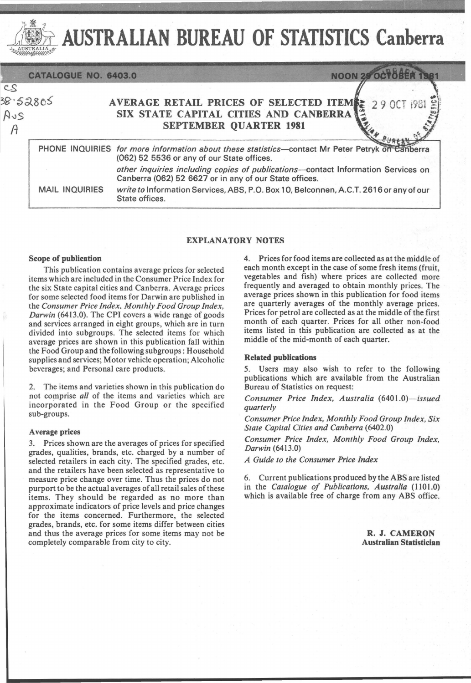

# AUSTRALIAN BUREAU OF STATISTICS Canberra

|                                                   | CATALOGUE NO. 6403.0  | <b>NOON 28</b>                                                                                                                                |
|---------------------------------------------------|-----------------------|-----------------------------------------------------------------------------------------------------------------------------------------------|
| $\overline{\mathcal{S}}$<br>2uf<br>$\overline{A}$ | 3.52805               | AVERAGE RETAIL PRICES OF SELECTED ITEMS: 29 OCT 1981<br>SIX STATE CAPITAL CITIES AND CANBERRA<br><b>SEPTEMBER QUARTER 1981</b>                |
|                                                   |                       | PHONE INQUIRIES for more information about these statistics—contact Mr Peter Petryk on Canberra<br>(062) 52 5536 or any of our State offices. |
|                                                   |                       | other inquiries including copies of publications-contact Information Services on<br>Canberra (062) 52 6627 or in any of our State offices.    |
|                                                   | <b>MAIL INQUIRIES</b> | write to Information Services, ABS, P.O. Box 10, Belconnen, A.C.T. 2616 or any of our<br>State offices.                                       |

# EXPLANATORY NOTES

### Scope of publication

This publication contains average prices for selected items which are included in the Consumer Price Index for the six State capital cities and Canberra. Average prices for some selected food items for Darwin are published in the *Consumer Price Index, Monthly Food Group Index, Darwin* (6413.0). The CPI covers a wide range of goods and services arranged in eight groups, which are in turn divided into subgroups. The selected items for which average prices are shown in this publication fall within the Food Group and the following subgroups: Household supplies and services; Motor vehicle operation; Alcoholic beverages; and Personal care products.

2. The items and varieties shown in this publication do not comprise *all* of the items and varieties which are incorporated in the Food Group or the specified sub-groups.

#### Average prices

3. Prices shown are the averages of prices for specified grades, qualities, brands, etc. charged by a number of selected retailers in each city. The specified grades, etc. and the retailers have been selected as representative to measure price change over time. Thus the prices do not purport to be the actual averages of all retail sales of these items. They should be regarded as no more than approximate indicators of price levels and price changes for the items concerned. Furthermore, the selected grades, brands, etc. for some items differ between cities and thus the average prices for some items may not be completely comparable from city to city.

4. Prices for food items are collected as at the middle of each month except in the case of some fresh items (fruit, vegetables and fish) where prices are collected more frequently and averaged to obtain monthly prices. The average prices shown in this publication for food items are quarterly averages of the monthly average prices. Prices for petrol are collected as at the middle of the first month of each quarter. Prices for all other non-food items listed in this publication are collected as at the middle of the mid-month of each quarter.

## Related publications

5. Users may also wish to refer to the following publications which are available from the Australian Bureau of Statistics on request:

*Consumer Price Index, Australia (6401.0)-issued quarterly* 

*Consumer Price Index, Monthly Food Group Index, Six State Capital Cities and Canberra (6402.0)* 

*Consumer Price Index, Monthly Food Group Index, Darwin (6413.0)* 

*A Guide to the Consumer Price Index* 

6. Current publications produced by the ABS are listed in the *Catalogue of Publications, Australia* (1101.0) which is available free of charge from any ABS office.

> R. J. CAMERON Australian Statistician